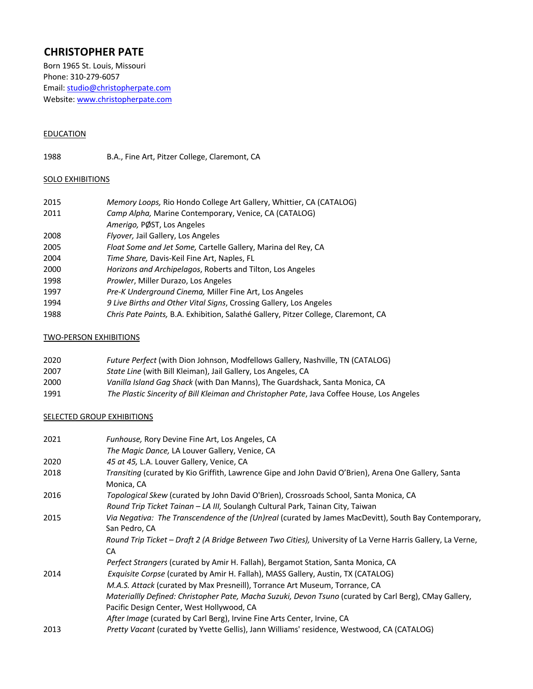# **CHRISTOPHER PATE**

Born 1965 St. Louis, Missouri Phone: 310-279-6057 Email: studio@christopherpate.com Website: www.christopherpate.com

# **EDUCATION**

1988 B.A., Fine Art, Pitzer College, Claremont, CA

# **SOLO EXHIBITIONS**

| 2015 | Memory Loops, Rio Hondo College Art Gallery, Whittier, CA (CATALOG)                |
|------|------------------------------------------------------------------------------------|
| 2011 | Camp Alpha, Marine Contemporary, Venice, CA (CATALOG)                              |
|      | Amerigo, PØST, Los Angeles                                                         |
| 2008 | Flyover, Jail Gallery, Los Angeles                                                 |
| 2005 | Float Some and Jet Some, Cartelle Gallery, Marina del Rey, CA                      |
| 2004 | Time Share, Davis-Keil Fine Art, Naples, FL                                        |
| 2000 | Horizons and Archipelagos, Roberts and Tilton, Los Angeles                         |
| 1998 | Prowler, Miller Durazo, Los Angeles                                                |
| 1997 | Pre-K Underground Cinema, Miller Fine Art, Los Angeles                             |
| 1994 | 9 Live Births and Other Vital Signs, Crossing Gallery, Los Angeles                 |
| 1988 | Chris Pate Paints, B.A. Exhibition, Salathé Gallery, Pitzer College, Claremont, CA |
|      |                                                                                    |

# TWO-PERSON EXHIBITIONS

| 2020 | Future Perfect (with Dion Johnson, Modfellows Gallery, Nashville, TN (CATALOG)             |
|------|--------------------------------------------------------------------------------------------|
| 2007 | State Line (with Bill Kleiman), Jail Gallery, Los Angeles, CA                              |
| 2000 | Vanilla Island Gag Shack (with Dan Manns), The Guardshack, Santa Monica, CA                |
| 1991 | The Plastic Sincerity of Bill Kleiman and Christopher Pate, Java Coffee House, Los Angeles |

### **SELECTED GROUP EXHIBITIONS**

| 2021 | <i>Funhouse, Rory Devine Fine Art, Los Angeles, CA</i>                                                                 |
|------|------------------------------------------------------------------------------------------------------------------------|
|      | The Magic Dance, LA Louver Gallery, Venice, CA                                                                         |
| 2020 | 45 at 45, L.A. Louver Gallery, Venice, CA                                                                              |
| 2018 | Transiting (curated by Kio Griffith, Lawrence Gipe and John David O'Brien), Arena One Gallery, Santa<br>Monica, CA     |
| 2016 | Topological Skew (curated by John David O'Brien), Crossroads School, Santa Monica, CA                                  |
|      | Round Trip Ticket Tainan - LA III, Soulangh Cultural Park, Tainan City, Taiwan                                         |
| 2015 | Via Negativa: The Transcendence of the (Un)real (curated by James MacDevitt), South Bay Contemporary,<br>San Pedro, CA |
|      | Round Trip Ticket - Draft 2 (A Bridge Between Two Cities), University of La Verne Harris Gallery, La Verne,<br>CA      |
|      | Perfect Strangers (curated by Amir H. Fallah), Bergamot Station, Santa Monica, CA                                      |
| 2014 | Exquisite Corpse (curated by Amir H. Fallah), MASS Gallery, Austin, TX (CATALOG)                                       |
|      | M.A.S. Attack (curated by Max Presneill), Torrance Art Museum, Torrance, CA                                            |
|      | Materiallly Defined: Christopher Pate, Macha Suzuki, Devon Tsuno (curated by Carl Berg), CMay Gallery,                 |
|      | Pacific Design Center, West Hollywood, CA                                                                              |
|      | After Image (curated by Carl Berg), Irvine Fine Arts Center, Irvine, CA                                                |
| 2013 | Pretty Vacant (curated by Yvette Gellis), Jann Williams' residence, Westwood, CA (CATALOG)                             |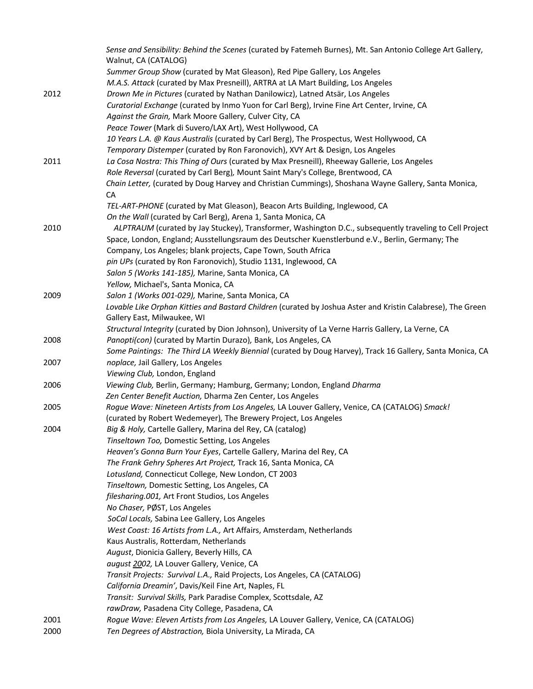|      | Sense and Sensibility: Behind the Scenes (curated by Fatemeh Burnes), Mt. San Antonio College Art Gallery,  |
|------|-------------------------------------------------------------------------------------------------------------|
|      | Walnut, CA (CATALOG)                                                                                        |
|      | Summer Group Show (curated by Mat Gleason), Red Pipe Gallery, Los Angeles                                   |
|      | M.A.S. Attack (curated by Max Presneill), ARTRA at LA Mart Building, Los Angeles                            |
| 2012 | Drown Me in Pictures (curated by Nathan Danilowicz), Latned Atsär, Los Angeles                              |
|      | Curatorial Exchange (curated by Inmo Yuon for Carl Berg), Irvine Fine Art Center, Irvine, CA                |
|      | Against the Grain, Mark Moore Gallery, Culver City, CA                                                      |
|      | Peace Tower (Mark di Suvero/LAX Art), West Hollywood, CA                                                    |
|      | 10 Years L.A. @ Kaus Australis (curated by Carl Berg), The Prospectus, West Hollywood, CA                   |
|      | Temporary Distemper (curated by Ron Faronovich), XVY Art & Design, Los Angeles                              |
| 2011 | La Cosa Nostra: This Thing of Ours (curated by Max Presneill), Rheeway Gallerie, Los Angeles                |
|      | Role Reversal (curated by Carl Berg), Mount Saint Mary's College, Brentwood, CA                             |
|      | Chain Letter, (curated by Doug Harvey and Christian Cummings), Shoshana Wayne Gallery, Santa Monica,        |
|      | CA                                                                                                          |
|      | TEL-ART-PHONE (curated by Mat Gleason), Beacon Arts Building, Inglewood, CA                                 |
|      | On the Wall (curated by Carl Berg), Arena 1, Santa Monica, CA                                               |
| 2010 | ALPTRAUM (curated by Jay Stuckey), Transformer, Washington D.C., subsequently traveling to Cell Project     |
|      | Space, London, England; Ausstellungsraum des Deutscher Kuenstlerbund e.V., Berlin, Germany; The             |
|      | Company, Los Angeles; blank projects, Cape Town, South Africa                                               |
|      | pin UPs (curated by Ron Faronovich), Studio 1131, Inglewood, CA                                             |
|      | Salon 5 (Works 141-185), Marine, Santa Monica, CA                                                           |
|      | Yellow, Michael's, Santa Monica, CA                                                                         |
| 2009 | Salon 1 (Works 001-029), Marine, Santa Monica, CA                                                           |
|      | Lovable Like Orphan Kitties and Bastard Children (curated by Joshua Aster and Kristin Calabrese), The Green |
|      | Gallery East, Milwaukee, WI                                                                                 |
|      | Structural Integrity (curated by Dion Johnson), University of La Verne Harris Gallery, La Verne, CA         |
| 2008 | Panopti(con) (curated by Martin Durazo), Bank, Los Angeles, CA                                              |
|      | Some Paintings: The Third LA Weekly Biennial (curated by Doug Harvey), Track 16 Gallery, Santa Monica, CA   |
| 2007 | noplace, Jail Gallery, Los Angeles                                                                          |
|      | Viewing Club, London, England                                                                               |
| 2006 | Viewing Club, Berlin, Germany; Hamburg, Germany; London, England Dharma                                     |
|      | Zen Center Benefit Auction, Dharma Zen Center, Los Angeles                                                  |
| 2005 | Rogue Wave: Nineteen Artists from Los Angeles, LA Louver Gallery, Venice, CA (CATALOG) Smack!               |
|      | (curated by Robert Wedemeyer), The Brewery Project, Los Angeles                                             |
| 2004 | Big & Holy, Cartelle Gallery, Marina del Rey, CA (catalog)                                                  |
|      | Tinseltown Too, Domestic Setting, Los Angeles                                                               |
|      | Heaven's Gonna Burn Your Eyes, Cartelle Gallery, Marina del Rey, CA                                         |
|      | The Frank Gehry Spheres Art Project, Track 16, Santa Monica, CA                                             |
|      | Lotusland, Connecticut College, New London, CT 2003                                                         |
|      | Tinseltown, Domestic Setting, Los Angeles, CA                                                               |
|      | filesharing.001, Art Front Studios, Los Angeles                                                             |
|      | No Chaser, PØST, Los Angeles                                                                                |
|      | SoCal Locals, Sabina Lee Gallery, Los Angeles                                                               |
|      | West Coast: 16 Artists from L.A., Art Affairs, Amsterdam, Netherlands                                       |
|      | Kaus Australis, Rotterdam, Netherlands                                                                      |
|      | August, Dionicia Gallery, Beverly Hills, CA                                                                 |
|      | august 2002, LA Louver Gallery, Venice, CA                                                                  |
|      | Transit Projects: Survival L.A., Raid Projects, Los Angeles, CA (CATALOG)                                   |
|      | California Dreamin', Davis/Keil Fine Art, Naples, FL                                                        |
|      | Transit: Survival Skills, Park Paradise Complex, Scottsdale, AZ                                             |
|      | rawDraw, Pasadena City College, Pasadena, CA                                                                |
| 2001 | Rogue Wave: Eleven Artists from Los Angeles, LA Louver Gallery, Venice, CA (CATALOG)                        |
| 2000 | Ten Degrees of Abstraction, Biola University, La Mirada, CA                                                 |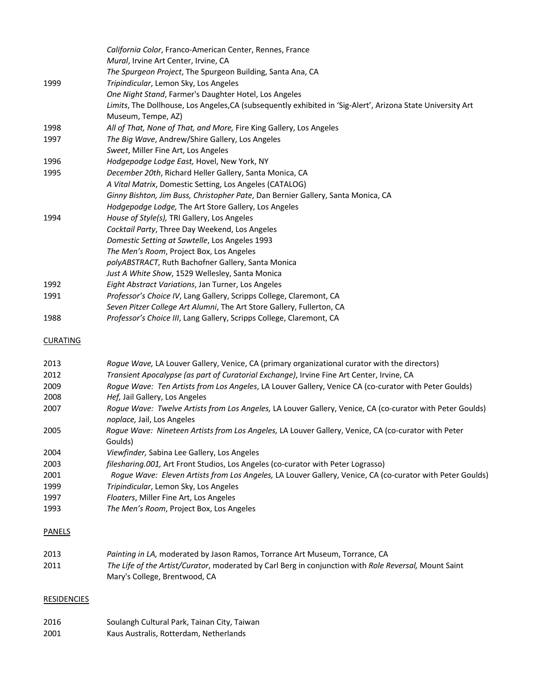|      | California Color, Franco-American Center, Rennes, France                                                                          |
|------|-----------------------------------------------------------------------------------------------------------------------------------|
|      | Mural, Irvine Art Center, Irvine, CA                                                                                              |
|      | The Spurgeon Project, The Spurgeon Building, Santa Ana, CA                                                                        |
| 1999 | Tripindicular, Lemon Sky, Los Angeles                                                                                             |
|      | One Night Stand, Farmer's Daughter Hotel, Los Angeles                                                                             |
|      | Limits, The Dollhouse, Los Angeles, CA (subsequently exhibited in 'Sig-Alert', Arizona State University Art<br>Museum, Tempe, AZ) |
| 1998 | All of That, None of That, and More, Fire King Gallery, Los Angeles                                                               |
| 1997 | The Big Wave, Andrew/Shire Gallery, Los Angeles                                                                                   |
|      | Sweet, Miller Fine Art, Los Angeles                                                                                               |
| 1996 | Hodgepodge Lodge East, Hovel, New York, NY                                                                                        |
| 1995 | December 20th, Richard Heller Gallery, Santa Monica, CA                                                                           |
|      | A Vital Matrix, Domestic Setting, Los Angeles (CATALOG)                                                                           |
|      | Ginny Bishton, Jim Buss, Christopher Pate, Dan Bernier Gallery, Santa Monica, CA                                                  |
|      | Hodgepodge Lodge, The Art Store Gallery, Los Angeles                                                                              |
| 1994 | House of Style(s), TRI Gallery, Los Angeles                                                                                       |
|      | Cocktail Party, Three Day Weekend, Los Angeles                                                                                    |
|      | Domestic Setting at Sawtelle, Los Angeles 1993                                                                                    |
|      | The Men's Room, Project Box, Los Angeles                                                                                          |
|      | polyABSTRACT, Ruth Bachofner Gallery, Santa Monica                                                                                |
|      | Just A White Show, 1529 Wellesley, Santa Monica                                                                                   |
| 1992 | Eight Abstract Variations, Jan Turner, Los Angeles                                                                                |
| 1991 | Professor's Choice IV, Lang Gallery, Scripps College, Claremont, CA                                                               |
|      | Seven Pitzer College Art Alumni, The Art Store Gallery, Fullerton, CA                                                             |
| 1988 | Professor's Choice III, Lang Gallery, Scripps College, Claremont, CA                                                              |
| C[1] |                                                                                                                                   |

#### **CURATING**

| Roque Wave, LA Louver Gallery, Venice, CA (primary organizational curator with the directors)                                                  |
|------------------------------------------------------------------------------------------------------------------------------------------------|
| Transient Apocalypse (as part of Curatorial Exchange), Irvine Fine Art Center, Irvine, CA                                                      |
| Roque Wave: Ten Artists from Los Angeles, LA Louver Gallery, Venice CA (co-curator with Peter Goulds)                                          |
| Hef, Jail Gallery, Los Angeles                                                                                                                 |
| Roque Wave: Twelve Artists from Los Angeles, LA Louver Gallery, Venice, CA (co-curator with Peter Goulds)<br><i>noplace, Jail, Los Angeles</i> |
| Roque Wave: Nineteen Artists from Los Angeles, LA Louver Gallery, Venice, CA (co-curator with Peter                                            |
| Goulds)                                                                                                                                        |
| Viewfinder, Sabina Lee Gallery, Los Angeles                                                                                                    |
| filesharing.001, Art Front Studios, Los Angeles (co-curator with Peter Lograsso)                                                               |
| Roque Wave: Eleven Artists from Los Angeles, LA Louver Gallery, Venice, CA (co-curator with Peter Goulds)                                      |
| Tripindicular, Lemon Sky, Los Angeles                                                                                                          |
| Floaters, Miller Fine Art, Los Angeles                                                                                                         |
| The Men's Room, Project Box, Los Angeles                                                                                                       |
|                                                                                                                                                |

# PANELS

| 2013 | Painting in LA, moderated by Jason Ramos, Torrance Art Museum, Torrance, CA                           |
|------|-------------------------------------------------------------------------------------------------------|
| 2011 | The Life of the Artist/Curator, moderated by Carl Berg in conjunction with Role Reversal, Mount Saint |
|      | Mary's College, Brentwood, CA                                                                         |

# **RESIDENCIES**

2016 Soulangh Cultural Park, Tainan City, Taiwan<br>2001 Kaus Australis, Rotterdam, Netherlands Kaus Australis, Rotterdam, Netherlands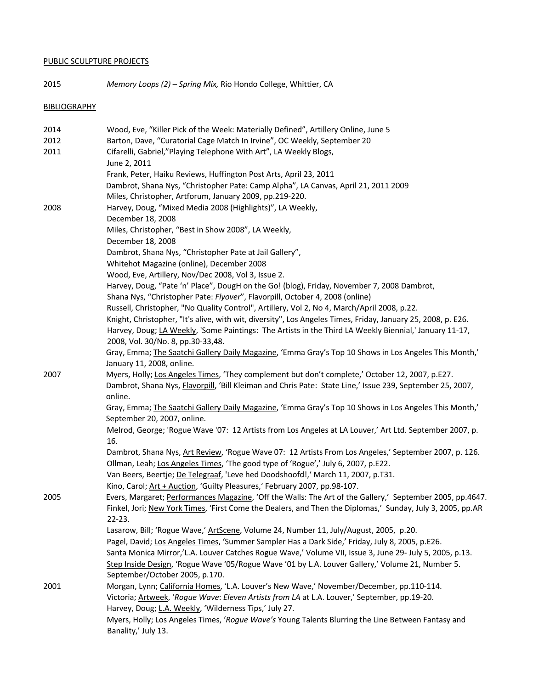# PUBLIC SCULPTURE PROJECTS

2015 *Memory Loops (2) – Spring Mix,* Rio Hondo College, Whittier, CA

# **BIBLIOGRAPHY**

| 2014<br>2012<br>2011 | Wood, Eve, "Killer Pick of the Week: Materially Defined", Artillery Online, June 5<br>Barton, Dave, "Curatorial Cage Match In Irvine", OC Weekly, September 20<br>Cifarelli, Gabriel,"Playing Telephone With Art", LA Weekly Blogs,                                                                                                                                                                                                                                                                                                                                                                                                                                                                                                                                                                                                                                                                                                                                            |
|----------------------|--------------------------------------------------------------------------------------------------------------------------------------------------------------------------------------------------------------------------------------------------------------------------------------------------------------------------------------------------------------------------------------------------------------------------------------------------------------------------------------------------------------------------------------------------------------------------------------------------------------------------------------------------------------------------------------------------------------------------------------------------------------------------------------------------------------------------------------------------------------------------------------------------------------------------------------------------------------------------------|
|                      | June 2, 2011<br>Frank, Peter, Haiku Reviews, Huffington Post Arts, April 23, 2011<br>Dambrot, Shana Nys, "Christopher Pate: Camp Alpha", LA Canvas, April 21, 2011 2009<br>Miles, Christopher, Artforum, January 2009, pp.219-220.                                                                                                                                                                                                                                                                                                                                                                                                                                                                                                                                                                                                                                                                                                                                             |
| 2008                 | Harvey, Doug, "Mixed Media 2008 (Highlights)", LA Weekly,<br>December 18, 2008<br>Miles, Christopher, "Best in Show 2008", LA Weekly,<br>December 18, 2008<br>Dambrot, Shana Nys, "Christopher Pate at Jail Gallery",<br>Whitehot Magazine (online), December 2008<br>Wood, Eve, Artillery, Nov/Dec 2008, Vol 3, Issue 2.<br>Harvey, Doug, "Pate 'n' Place", DougH on the Go! (blog), Friday, November 7, 2008 Dambrot,<br>Shana Nys, "Christopher Pate: Flyover", Flavorpill, October 4, 2008 (online)<br>Russell, Christopher, "No Quality Control", Artillery, Vol 2, No 4, March/April 2008, p.22.<br>Knight, Christopher, "It's alive, with wit, diversity", Los Angeles Times, Friday, January 25, 2008, p. E26.<br>Harvey, Doug; LA Weekly, 'Some Paintings: The Artists in the Third LA Weekly Biennial,' January 11-17,<br>2008, Vol. 30/No. 8, pp.30-33,48.<br>Gray, Emma; The Saatchi Gallery Daily Magazine, 'Emma Gray's Top 10 Shows in Los Angeles This Month,' |
| 2007                 | January 11, 2008, online.<br>Myers, Holly; Los Angeles Times, 'They complement but don't complete,' October 12, 2007, p.E27.                                                                                                                                                                                                                                                                                                                                                                                                                                                                                                                                                                                                                                                                                                                                                                                                                                                   |
|                      | Dambrot, Shana Nys, Flavorpill, 'Bill Kleiman and Chris Pate: State Line,' Issue 239, September 25, 2007,<br>online.<br>Gray, Emma; The Saatchi Gallery Daily Magazine, 'Emma Gray's Top 10 Shows in Los Angeles This Month,'<br>September 20, 2007, online.<br>Melrod, George; 'Rogue Wave '07: 12 Artists from Los Angeles at LA Louver,' Art Ltd. September 2007, p.<br>16.<br>Dambrot, Shana Nys, Art Review, 'Rogue Wave 07: 12 Artists From Los Angeles,' September 2007, p. 126.<br>Ollman, Leah; Los Angeles Times, 'The good type of 'Rogue',' July 6, 2007, p.E22.<br>Van Beers, Beertje; De Telegraaf, 'Leve hed Doodshoofd!,' March 11, 2007, p.T31.                                                                                                                                                                                                                                                                                                               |
| 2005                 | Kino, Carol; Art + Auction, 'Guilty Pleasures,' February 2007, pp.98-107.<br>Evers, Margaret; Performances Magazine, 'Off the Walls: The Art of the Gallery,' September 2005, pp.4647.<br>Finkel, Jori; New York Times, 'First Come the Dealers, and Then the Diplomas,' Sunday, July 3, 2005, pp.AR<br>$22 - 23.$<br>Lasarow, Bill; 'Rogue Wave,' ArtScene, Volume 24, Number 11, July/August, 2005, p.20.                                                                                                                                                                                                                                                                                                                                                                                                                                                                                                                                                                    |
|                      | Pagel, David; Los Angeles Times, 'Summer Sampler Has a Dark Side,' Friday, July 8, 2005, p.E26.<br>Santa Monica Mirror,'L.A. Louver Catches Rogue Wave,' Volume VII, Issue 3, June 29- July 5, 2005, p.13.<br>Step Inside Design, 'Rogue Wave '05/Rogue Wave '01 by L.A. Louver Gallery,' Volume 21, Number 5.<br>September/October 2005, p.170.                                                                                                                                                                                                                                                                                                                                                                                                                                                                                                                                                                                                                               |
| 2001                 | Morgan, Lynn; California Homes, 'L.A. Louver's New Wave,' November/December, pp.110-114.<br>Victoria; Artweek, 'Rogue Wave: Eleven Artists from LA at L.A. Louver,' September, pp.19-20.<br>Harvey, Doug; L.A. Weekly, 'Wilderness Tips,' July 27.<br>Myers, Holly; Los Angeles Times, 'Rogue Wave's Young Talents Blurring the Line Between Fantasy and<br>Banality,' July 13.                                                                                                                                                                                                                                                                                                                                                                                                                                                                                                                                                                                                |